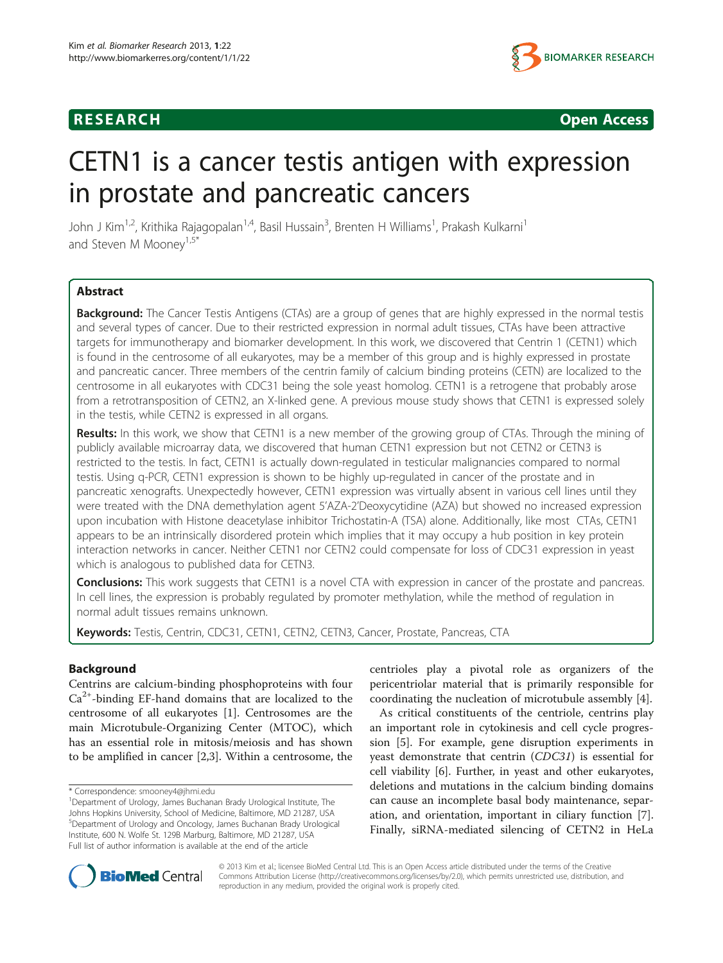

**RESEARCH RESEARCH CONSUMING ACCESS** 

# CETN1 is a cancer testis antigen with expression in prostate and pancreatic cancers

John J Kim<sup>1,2</sup>, Krithika Rajagopalan<sup>1,4</sup>, Basil Hussain<sup>3</sup>, Brenten H Williams<sup>1</sup>, Prakash Kulkarni<sup>1</sup> and Steven M Mooney<sup>1,5\*</sup>

# Abstract

**Background:** The Cancer Testis Antigens (CTAs) are a group of genes that are highly expressed in the normal testis and several types of cancer. Due to their restricted expression in normal adult tissues, CTAs have been attractive targets for immunotherapy and biomarker development. In this work, we discovered that Centrin 1 (CETN1) which is found in the centrosome of all eukaryotes, may be a member of this group and is highly expressed in prostate and pancreatic cancer. Three members of the centrin family of calcium binding proteins (CETN) are localized to the centrosome in all eukaryotes with CDC31 being the sole yeast homolog. CETN1 is a retrogene that probably arose from a retrotransposition of CETN2, an X-linked gene. A previous mouse study shows that CETN1 is expressed solely in the testis, while CETN2 is expressed in all organs.

Results: In this work, we show that CETN1 is a new member of the growing group of CTAs. Through the mining of publicly available microarray data, we discovered that human CETN1 expression but not CETN2 or CETN3 is restricted to the testis. In fact, CETN1 is actually down-regulated in testicular malignancies compared to normal testis. Using q-PCR, CETN1 expression is shown to be highly up-regulated in cancer of the prostate and in pancreatic xenografts. Unexpectedly however, CETN1 expression was virtually absent in various cell lines until they were treated with the DNA demethylation agent 5'AZA-2'Deoxycytidine (AZA) but showed no increased expression upon incubation with Histone deacetylase inhibitor Trichostatin-A (TSA) alone. Additionally, like most CTAs, CETN1 appears to be an intrinsically disordered protein which implies that it may occupy a hub position in key protein interaction networks in cancer. Neither CETN1 nor CETN2 could compensate for loss of CDC31 expression in yeast which is analogous to published data for CETN3.

Conclusions: This work suggests that CETN1 is a novel CTA with expression in cancer of the prostate and pancreas. In cell lines, the expression is probably regulated by promoter methylation, while the method of regulation in normal adult tissues remains unknown.

Keywords: Testis, Centrin, CDC31, CETN1, CETN2, CETN3, Cancer, Prostate, Pancreas, CTA

# Background

Centrins are calcium-binding phosphoproteins with four  $Ca<sup>2+</sup>$ -binding EF-hand domains that are localized to the centrosome of all eukaryotes [\[1](#page-5-0)]. Centrosomes are the main Microtubule-Organizing Center (MTOC), which has an essential role in mitosis/meiosis and has shown to be amplified in cancer [\[2,3](#page-5-0)]. Within a centrosome, the

centrioles play a pivotal role as organizers of the pericentriolar material that is primarily responsible for coordinating the nucleation of microtubule assembly [\[4](#page-5-0)].

As critical constituents of the centriole, centrins play an important role in cytokinesis and cell cycle progression [[5\]](#page-5-0). For example, gene disruption experiments in yeast demonstrate that centrin (CDC31) is essential for cell viability [[6](#page-5-0)]. Further, in yeast and other eukaryotes, deletions and mutations in the calcium binding domains can cause an incomplete basal body maintenance, separation, and orientation, important in ciliary function [\[7](#page-5-0)]. Finally, siRNA-mediated silencing of CETN2 in HeLa



© 2013 Kim et al.; licensee BioMed Central Ltd. This is an Open Access article distributed under the terms of the Creative Commons Attribution License [\(http://creativecommons.org/licenses/by/2.0\)](http://creativecommons.org/licenses/by/2.0), which permits unrestricted use, distribution, and reproduction in any medium, provided the original work is properly cited.

<sup>\*</sup> Correspondence: [smooney4@jhmi.edu](mailto:smooney4@jhmi.edu) <sup>1</sup>

<sup>&</sup>lt;sup>1</sup>Department of Urology, James Buchanan Brady Urological Institute, The Johns Hopkins University, School of Medicine, Baltimore, MD 21287, USA 5 Department of Urology and Oncology, James Buchanan Brady Urological Institute, 600 N. Wolfe St. 129B Marburg, Baltimore, MD 21287, USA Full list of author information is available at the end of the article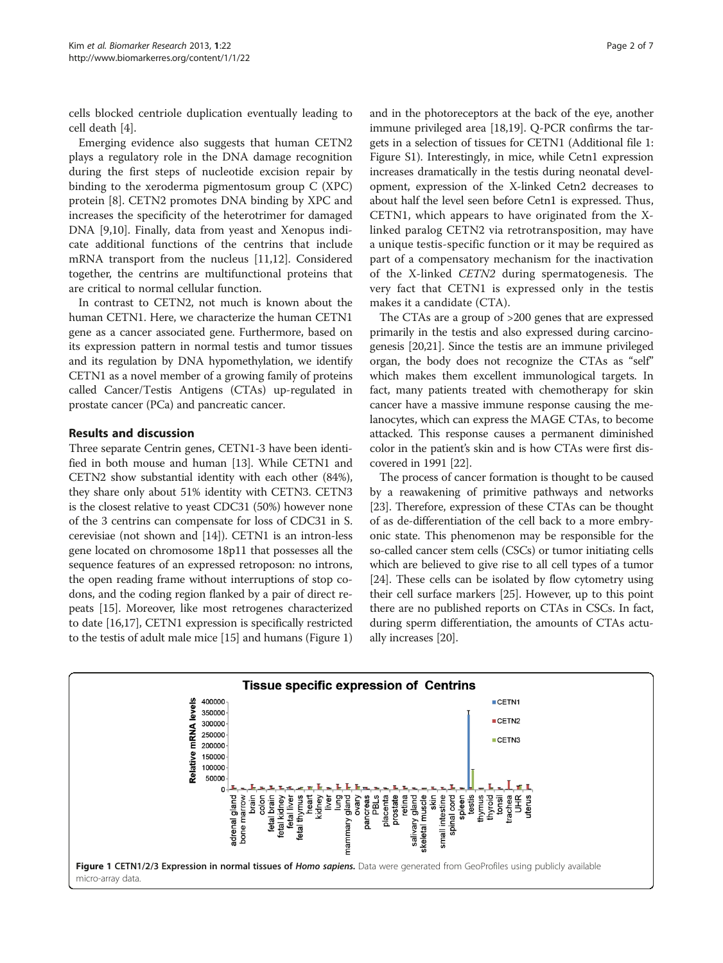cells blocked centriole duplication eventually leading to cell death [\[4](#page-5-0)].

Emerging evidence also suggests that human CETN2 plays a regulatory role in the DNA damage recognition during the first steps of nucleotide excision repair by binding to the xeroderma pigmentosum group C (XPC) protein [[8](#page-5-0)]. CETN2 promotes DNA binding by XPC and increases the specificity of the heterotrimer for damaged DNA [\[9,10](#page-5-0)]. Finally, data from yeast and Xenopus indicate additional functions of the centrins that include mRNA transport from the nucleus [[11](#page-5-0),[12](#page-5-0)]. Considered together, the centrins are multifunctional proteins that are critical to normal cellular function.

In contrast to CETN2, not much is known about the human CETN1. Here, we characterize the human CETN1 gene as a cancer associated gene. Furthermore, based on its expression pattern in normal testis and tumor tissues and its regulation by DNA hypomethylation, we identify CETN1 as a novel member of a growing family of proteins called Cancer/Testis Antigens (CTAs) up-regulated in prostate cancer (PCa) and pancreatic cancer.

#### Results and discussion

Three separate Centrin genes, CETN1-3 have been identified in both mouse and human [\[13\]](#page-5-0). While CETN1 and CETN2 show substantial identity with each other (84%), they share only about 51% identity with CETN3. CETN3 is the closest relative to yeast CDC31 (50%) however none of the 3 centrins can compensate for loss of CDC31 in S. cerevisiae (not shown and [[14](#page-5-0)]). CETN1 is an intron-less gene located on chromosome 18p11 that possesses all the sequence features of an expressed retroposon: no introns, the open reading frame without interruptions of stop codons, and the coding region flanked by a pair of direct repeats [[15](#page-5-0)]. Moreover, like most retrogenes characterized to date [\[16,17\]](#page-5-0), CETN1 expression is specifically restricted to the testis of adult male mice [[15](#page-5-0)] and humans (Figure 1)

and in the photoreceptors at the back of the eye, another immune privileged area [\[18,19](#page-5-0)]. Q-PCR confirms the targets in a selection of tissues for CETN1 (Additional file [1](#page-4-0): Figure S1). Interestingly, in mice, while Cetn1 expression increases dramatically in the testis during neonatal development, expression of the X-linked Cetn2 decreases to about half the level seen before Cetn1 is expressed. Thus, CETN1, which appears to have originated from the Xlinked paralog CETN2 via retrotransposition, may have a unique testis-specific function or it may be required as part of a compensatory mechanism for the inactivation of the X-linked CETN2 during spermatogenesis. The very fact that CETN1 is expressed only in the testis makes it a candidate (CTA).

The CTAs are a group of >200 genes that are expressed primarily in the testis and also expressed during carcinogenesis [[20,21\]](#page-5-0). Since the testis are an immune privileged organ, the body does not recognize the CTAs as "self" which makes them excellent immunological targets. In fact, many patients treated with chemotherapy for skin cancer have a massive immune response causing the melanocytes, which can express the MAGE CTAs, to become attacked. This response causes a permanent diminished color in the patient's skin and is how CTAs were first discovered in 1991 [[22\]](#page-5-0).

The process of cancer formation is thought to be caused by a reawakening of primitive pathways and networks [[23](#page-5-0)]. Therefore, expression of these CTAs can be thought of as de-differentiation of the cell back to a more embryonic state. This phenomenon may be responsible for the so-called cancer stem cells (CSCs) or tumor initiating cells which are believed to give rise to all cell types of a tumor [[24](#page-5-0)]. These cells can be isolated by flow cytometry using their cell surface markers [[25](#page-5-0)]. However, up to this point there are no published reports on CTAs in CSCs. In fact, during sperm differentiation, the amounts of CTAs actually increases [[20](#page-5-0)].

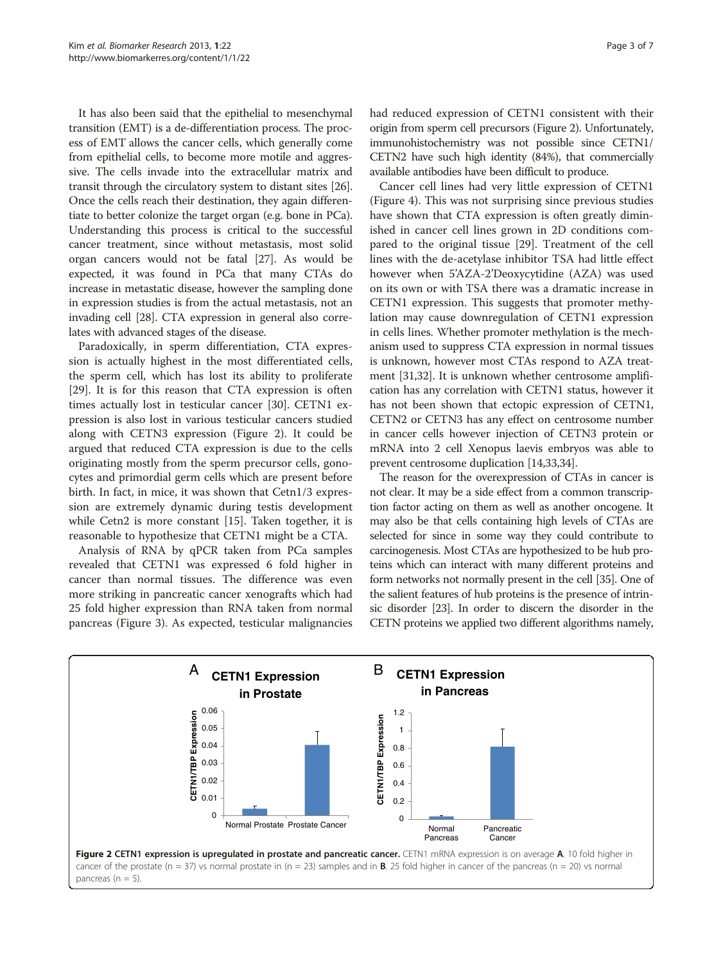It has also been said that the epithelial to mesenchymal transition (EMT) is a de-differentiation process. The process of EMT allows the cancer cells, which generally come from epithelial cells, to become more motile and aggressive. The cells invade into the extracellular matrix and transit through the circulatory system to distant sites [[26](#page-5-0)]. Once the cells reach their destination, they again differentiate to better colonize the target organ (e.g. bone in PCa). Understanding this process is critical to the successful cancer treatment, since without metastasis, most solid organ cancers would not be fatal [\[27\]](#page-5-0). As would be expected, it was found in PCa that many CTAs do increase in metastatic disease, however the sampling done in expression studies is from the actual metastasis, not an invading cell [[28](#page-5-0)]. CTA expression in general also correlates with advanced stages of the disease.

Paradoxically, in sperm differentiation, CTA expression is actually highest in the most differentiated cells, the sperm cell, which has lost its ability to proliferate [[29\]](#page-5-0). It is for this reason that CTA expression is often times actually lost in testicular cancer [[30](#page-5-0)]. CETN1 expression is also lost in various testicular cancers studied along with CETN3 expression (Figure 2). It could be argued that reduced CTA expression is due to the cells originating mostly from the sperm precursor cells, gonocytes and primordial germ cells which are present before birth. In fact, in mice, it was shown that Cetn1/3 expression are extremely dynamic during testis development while Cetn2 is more constant [[15\]](#page-5-0). Taken together, it is reasonable to hypothesize that CETN1 might be a CTA.

Analysis of RNA by qPCR taken from PCa samples revealed that CETN1 was expressed 6 fold higher in cancer than normal tissues. The difference was even more striking in pancreatic cancer xenografts which had 25 fold higher expression than RNA taken from normal pancreas (Figure [3\)](#page-3-0). As expected, testicular malignancies had reduced expression of CETN1 consistent with their origin from sperm cell precursors (Figure 2). Unfortunately, immunohistochemistry was not possible since CETN1/ CETN2 have such high identity (84%), that commercially available antibodies have been difficult to produce.

Cancer cell lines had very little expression of CETN1 (Figure [4\)](#page-3-0). This was not surprising since previous studies have shown that CTA expression is often greatly diminished in cancer cell lines grown in 2D conditions compared to the original tissue [[29\]](#page-5-0). Treatment of the cell lines with the de-acetylase inhibitor TSA had little effect however when 5'AZA-2'Deoxycytidine (AZA) was used on its own or with TSA there was a dramatic increase in CETN1 expression. This suggests that promoter methylation may cause downregulation of CETN1 expression in cells lines. Whether promoter methylation is the mechanism used to suppress CTA expression in normal tissues is unknown, however most CTAs respond to AZA treatment [[31,32](#page-5-0)]. It is unknown whether centrosome amplification has any correlation with CETN1 status, however it has not been shown that ectopic expression of CETN1, CETN2 or CETN3 has any effect on centrosome number in cancer cells however injection of CETN3 protein or mRNA into 2 cell Xenopus laevis embryos was able to prevent centrosome duplication [[14,33,34\]](#page-5-0).

The reason for the overexpression of CTAs in cancer is not clear. It may be a side effect from a common transcription factor acting on them as well as another oncogene. It may also be that cells containing high levels of CTAs are selected for since in some way they could contribute to carcinogenesis. Most CTAs are hypothesized to be hub proteins which can interact with many different proteins and form networks not normally present in the cell [\[35\]](#page-5-0). One of the salient features of hub proteins is the presence of intrinsic disorder [\[23](#page-5-0)]. In order to discern the disorder in the CETN proteins we applied two different algorithms namely,

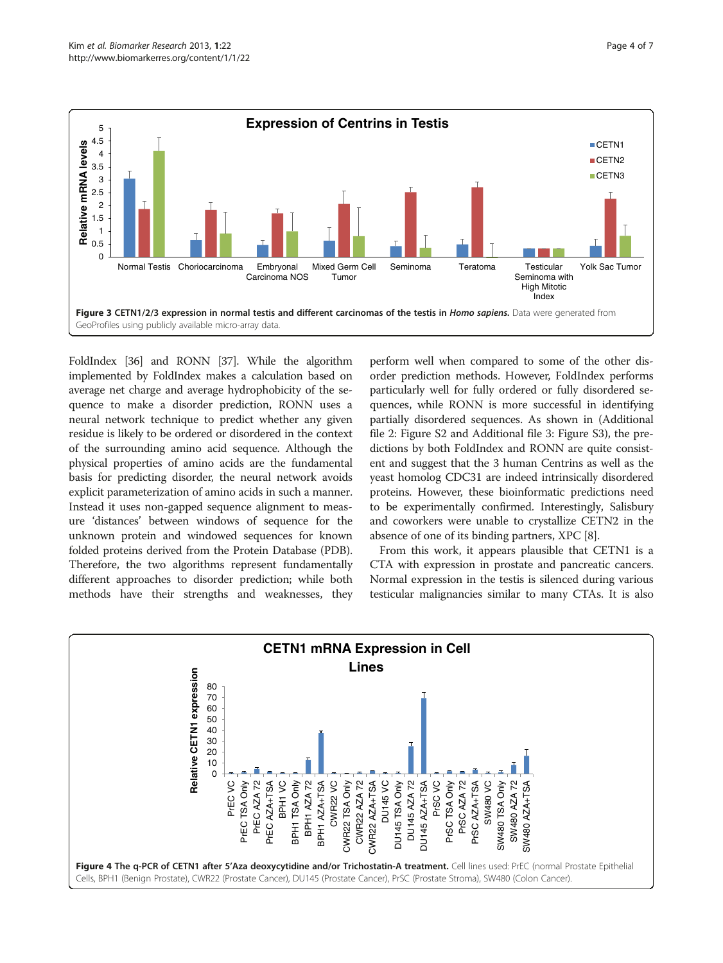<span id="page-3-0"></span>

FoldIndex [[36\]](#page-5-0) and RONN [[37\]](#page-5-0). While the algorithm implemented by FoldIndex makes a calculation based on average net charge and average hydrophobicity of the sequence to make a disorder prediction, RONN uses a neural network technique to predict whether any given residue is likely to be ordered or disordered in the context of the surrounding amino acid sequence. Although the physical properties of amino acids are the fundamental basis for predicting disorder, the neural network avoids explicit parameterization of amino acids in such a manner. Instead it uses non-gapped sequence alignment to measure 'distances' between windows of sequence for the unknown protein and windowed sequences for known folded proteins derived from the Protein Database (PDB). Therefore, the two algorithms represent fundamentally different approaches to disorder prediction; while both methods have their strengths and weaknesses, they

perform well when compared to some of the other disorder prediction methods. However, FoldIndex performs particularly well for fully ordered or fully disordered sequences, while RONN is more successful in identifying partially disordered sequences. As shown in (Additional file [2:](#page-4-0) Figure S2 and Additional file [3:](#page-4-0) Figure S3), the predictions by both FoldIndex and RONN are quite consistent and suggest that the 3 human Centrins as well as the yeast homolog CDC31 are indeed intrinsically disordered proteins. However, these bioinformatic predictions need to be experimentally confirmed. Interestingly, Salisbury and coworkers were unable to crystallize CETN2 in the absence of one of its binding partners, XPC [\[8](#page-5-0)].

From this work, it appears plausible that CETN1 is a CTA with expression in prostate and pancreatic cancers. Normal expression in the testis is silenced during various testicular malignancies similar to many CTAs. It is also

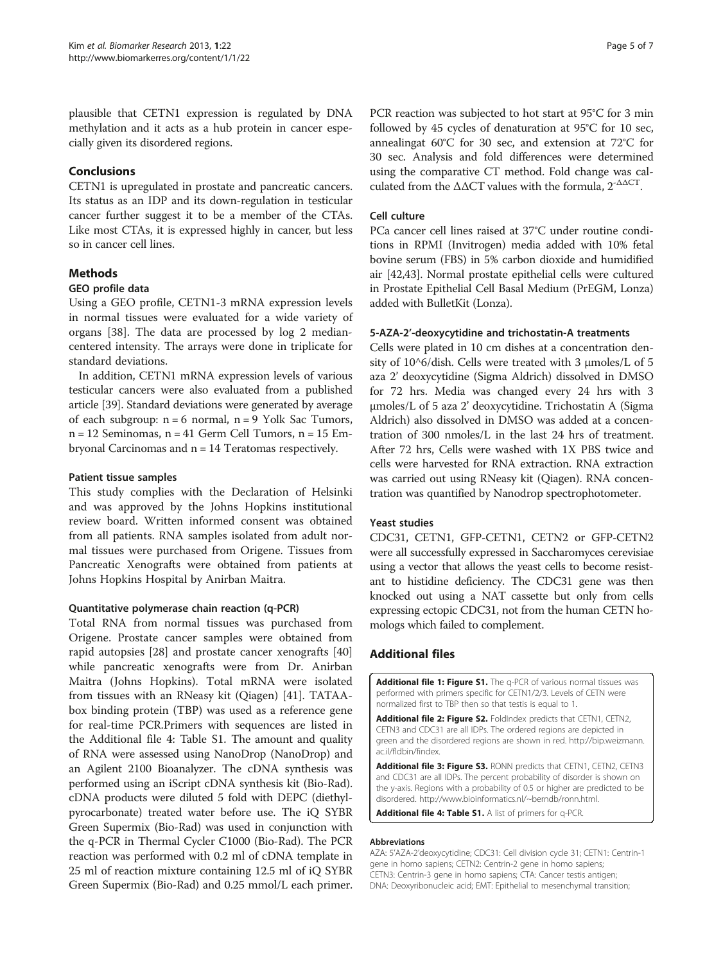<span id="page-4-0"></span>plausible that CETN1 expression is regulated by DNA methylation and it acts as a hub protein in cancer especially given its disordered regions.

# Conclusions

CETN1 is upregulated in prostate and pancreatic cancers. Its status as an IDP and its down-regulation in testicular cancer further suggest it to be a member of the CTAs. Like most CTAs, it is expressed highly in cancer, but less so in cancer cell lines.

# Methods

# GEO profile data

Using a GEO profile, CETN1-3 mRNA expression levels in normal tissues were evaluated for a wide variety of organs [[38](#page-5-0)]. The data are processed by log 2 mediancentered intensity. The arrays were done in triplicate for standard deviations.

In addition, CETN1 mRNA expression levels of various testicular cancers were also evaluated from a published article [\[39\]](#page-5-0). Standard deviations were generated by average of each subgroup: n = 6 normal, n = 9 Yolk Sac Tumors,  $n = 12$  Seminomas,  $n = 41$  Germ Cell Tumors,  $n = 15$  Embryonal Carcinomas and n = 14 Teratomas respectively.

#### Patient tissue samples

This study complies with the Declaration of Helsinki and was approved by the Johns Hopkins institutional review board. Written informed consent was obtained from all patients. RNA samples isolated from adult normal tissues were purchased from Origene. Tissues from Pancreatic Xenografts were obtained from patients at Johns Hopkins Hospital by Anirban Maitra.

#### Quantitative polymerase chain reaction (q-PCR)

Total RNA from normal tissues was purchased from Origene. Prostate cancer samples were obtained from rapid autopsies [[28\]](#page-5-0) and prostate cancer xenografts [[40](#page-5-0)] while pancreatic xenografts were from Dr. Anirban Maitra (Johns Hopkins). Total mRNA were isolated from tissues with an RNeasy kit (Qiagen) [\[41\]](#page-5-0). TATAAbox binding protein (TBP) was used as a reference gene for real-time PCR.Primers with sequences are listed in the Additional file 4: Table S1. The amount and quality of RNA were assessed using NanoDrop (NanoDrop) and an Agilent 2100 Bioanalyzer. The cDNA synthesis was performed using an iScript cDNA synthesis kit (Bio-Rad). cDNA products were diluted 5 fold with DEPC (diethylpyrocarbonate) treated water before use. The iQ SYBR Green Supermix (Bio-Rad) was used in conjunction with the q-PCR in Thermal Cycler C1000 (Bio-Rad). The PCR reaction was performed with 0.2 ml of cDNA template in 25 ml of reaction mixture containing 12.5 ml of iQ SYBR Green Supermix (Bio-Rad) and 0.25 mmol/L each primer. PCR reaction was subjected to hot start at 95°C for 3 min followed by 45 cycles of denaturation at 95°C for 10 sec, annealingat 60°C for 30 sec, and extension at 72°C for 30 sec. Analysis and fold differences were determined using the comparative CT method. Fold change was calculated from the  $\triangle \triangle CT$  values with the formula,  $2^{-\triangle \triangle CT}$ .

## Cell culture

PCa cancer cell lines raised at 37°C under routine conditions in RPMI (Invitrogen) media added with 10% fetal bovine serum (FBS) in 5% carbon dioxide and humidified air [[42,43](#page-6-0)]. Normal prostate epithelial cells were cultured in Prostate Epithelial Cell Basal Medium (PrEGM, Lonza) added with BulletKit (Lonza).

## 5-AZA-2'-deoxycytidine and trichostatin-A treatments

Cells were plated in 10 cm dishes at a concentration density of  $10^6$ /dish. Cells were treated with 3 µmoles/L of 5 aza 2' deoxycytidine (Sigma Aldrich) dissolved in DMSO for 72 hrs. Media was changed every 24 hrs with 3 μmoles/L of 5 aza 2' deoxycytidine. Trichostatin A (Sigma Aldrich) also dissolved in DMSO was added at a concentration of 300 nmoles/L in the last 24 hrs of treatment. After 72 hrs, Cells were washed with 1X PBS twice and cells were harvested for RNA extraction. RNA extraction was carried out using RNeasy kit (Qiagen). RNA concentration was quantified by Nanodrop spectrophotometer.

#### Yeast studies

CDC31, CETN1, GFP-CETN1, CETN2 or GFP-CETN2 were all successfully expressed in Saccharomyces cerevisiae using a vector that allows the yeast cells to become resistant to histidine deficiency. The CDC31 gene was then knocked out using a NAT cassette but only from cells expressing ectopic CDC31, not from the human CETN homologs which failed to complement.

# Additional files

[Additional file 1: Figure S1.](http://www.biomedcentral.com/content/supplementary/2050-7771-1-22-S1.pdf) The q-PCR of various normal tissues was performed with primers specific for CETN1/2/3. Levels of CETN were normalized first to TBP then so that testis is equal to 1.

[Additional file 2: Figure S2.](http://www.biomedcentral.com/content/supplementary/2050-7771-1-22-S2.pdf) FoldIndex predicts that CETN1, CETN2, CETN3 and CDC31 are all IDPs. The ordered regions are depicted in green and the disordered regions are shown in red. [http://bip.weizmann.](http://bip.weizmann.ac.il/fldbin/findex) [ac.il/fldbin/findex.](http://bip.weizmann.ac.il/fldbin/findex)

[Additional file 3: Figure S3.](http://www.biomedcentral.com/content/supplementary/2050-7771-1-22-S3.pdf) RONN predicts that CETN1, CETN2, CETN3 and CDC31 are all IDPs. The percent probability of disorder is shown on the y-axis. Regions with a probability of 0.5 or higher are predicted to be disordered. [http://www.bioinformatics.nl/~berndb/ronn.html.](http://www.bioinformatics.nl/~berndb/ronn.html)

[Additional file 4: Table S1.](http://www.biomedcentral.com/content/supplementary/2050-7771-1-22-S4.doc) A list of primers for q-PCR.

#### Abbreviations

AZA: 5'AZA-2'deoxycytidine; CDC31: Cell division cycle 31; CETN1: Centrin-1 gene in homo sapiens; CETN2: Centrin-2 gene in homo sapiens; CETN3: Centrin-3 gene in homo sapiens; CTA: Cancer testis antigen; DNA: Deoxyribonucleic acid; EMT: Epithelial to mesenchymal transition;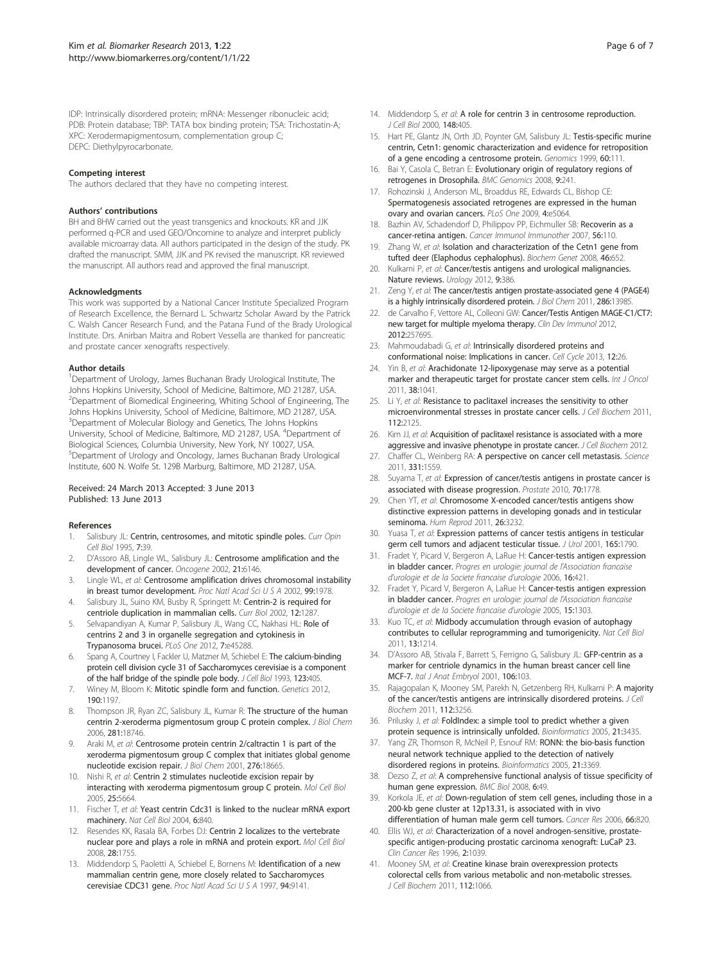<span id="page-5-0"></span>IDP: Intrinsically disordered protein; mRNA: Messenger ribonucleic acid; PDB: Protein database; TBP: TATA box binding protein; TSA: Trichostatin-A; XPC: Xerodermapigmentosum, complementation group C; DEPC: Diethylpyrocarbonate.

#### Competing interest

The authors declared that they have no competing interest.

#### Authors' contributions

BH and BHW carried out the yeast transgenics and knockouts. KR and JJK performed q-PCR and used GEO/Oncomine to analyze and interpret publicly available microarray data. All authors participated in the design of the study. PK drafted the manuscript. SMM, JJK and PK revised the manuscript. KR reviewed the manuscript. All authors read and approved the final manuscript.

#### Acknowledgments

This work was supported by a National Cancer Institute Specialized Program of Research Excellence, the Bernard L. Schwartz Scholar Award by the Patrick C. Walsh Cancer Research Fund, and the Patana Fund of the Brady Urological Institute. Drs. Anirban Maitra and Robert Vessella are thanked for pancreatic and prostate cancer xenografts respectively.

#### Author details

<sup>1</sup>Department of Urology, James Buchanan Brady Urological Institute, The Johns Hopkins University, School of Medicine, Baltimore, MD 21287, USA. <sup>2</sup>Department of Biomedical Engineering, Whiting School of Engineering, The Johns Hopkins University, School of Medicine, Baltimore, MD 21287, USA. <sup>3</sup>Department of Molecular Biology and Genetics, The Johns Hopkins University, School of Medicine, Baltimore, MD 21287, USA. <sup>4</sup>Department of Biological Sciences, Columbia University, New York, NY 10027, USA. 5 Department of Urology and Oncology, James Buchanan Brady Urological Institute, 600 N. Wolfe St. 129B Marburg, Baltimore, MD 21287, USA.

#### Received: 24 March 2013 Accepted: 3 June 2013 Published: 13 June 2013

#### References

- 1. Salisbury JL: Centrin, centrosomes, and mitotic spindle poles. Curr Opin Cell Biol 1995, 7:39.
- 2. D'Assoro AB, Lingle WL, Salisbury JL: Centrosome amplification and the development of cancer. Oncogene 2002, 21:6146.
- 3. Lingle WL, et al: Centrosome amplification drives chromosomal instability in breast tumor development. Proc Natl Acad Sci U S A 2002, 99:1978.
- 4. Salisbury JL, Suino KM, Busby R, Springett M: Centrin-2 is required for centriole duplication in mammalian cells. Curr Biol 2002, 12:1287.
- 5. Selvapandiyan A, Kumar P, Salisbury JL, Wang CC, Nakhasi HL: Role of centrins 2 and 3 in organelle segregation and cytokinesis in Trypanosoma brucei. PLoS One 2012, 7:e45288.
- 6. Spang A, Courtney I, Fackler U, Matzner M, Schiebel E: The calcium-binding protein cell division cycle 31 of Saccharomyces cerevisiae is a component of the half bridge of the spindle pole body. J Cell Biol 1993, 123:405.
- 7. Winey M, Bloom K: Mitotic spindle form and function. Genetics 2012, 190:1197.
- 8. Thompson JR, Ryan ZC, Salisbury JL, Kumar R: The structure of the human centrin 2-xeroderma pigmentosum group C protein complex. J Biol Chem 2006, 281:18746.
- Araki M, et al: Centrosome protein centrin 2/caltractin 1 is part of the xeroderma pigmentosum group C complex that initiates global genome nucleotide excision repair. J Biol Chem 2001, 276:18665.
- 10. Nishi R, et al: Centrin 2 stimulates nucleotide excision repair by interacting with xeroderma pigmentosum group C protein. Mol Cell Biol 2005, 25:5664.
- 11. Fischer T, et al: Yeast centrin Cdc31 is linked to the nuclear mRNA export machinery. Nat Cell Biol 2004, 6:840.
- 12. Resendes KK, Rasala BA, Forbes DJ: Centrin 2 localizes to the vertebrate nuclear pore and plays a role in mRNA and protein export. Mol Cell Biol 2008, 28:1755.
- 13. Middendorp S, Paoletti A, Schiebel E, Bornens M: Identification of a new mammalian centrin gene, more closely related to Saccharomyces cerevisiae CDC31 gene. Proc Natl Acad Sci U S A 1997, 94:9141.
- 14. Middendorp S, et al: A role for centrin 3 in centrosome reproduction. J Cell Biol 2000, 148:405.
- 15. Hart PE, Glantz JN, Orth JD, Poynter GM, Salisbury JL: Testis-specific murine centrin, Cetn1: genomic characterization and evidence for retroposition of a gene encoding a centrosome protein. Genomics 1999, 60:111.
- 16. Bai Y, Casola C, Betran E: Evolutionary origin of regulatory regions of retrogenes in Drosophila. BMC Genomics 2008, 9:241.
- 17. Rohozinski J, Anderson ML, Broaddus RE, Edwards CL, Bishop CE: Spermatogenesis associated retrogenes are expressed in the human ovary and ovarian cancers. PLoS One 2009, 4:e5064.
- 18. Bazhin AV, Schadendorf D, Philippov PP, Eichmuller SB: Recoverin as a cancer-retina antigen. Cancer Immunol Immunother 2007, 56:110.
- 19. Zhang W, et al: Isolation and characterization of the Cetn1 gene from tufted deer (Elaphodus cephalophus). Biochem Genet 2008, 46:652.
- 20. Kulkarni P, et al: Cancer/testis antigens and urological malignancies. Nature reviews. Urology 2012, 9:386.
- 21. Zeng Y, et al: The cancer/testis antigen prostate-associated gene 4 (PAGE4) is a highly intrinsically disordered protein. J Biol Chem 2011, 286:13985.
- 22. de Carvalho F, Vettore AL, Colleoni GW: Cancer/Testis Antigen MAGE-C1/CT7: new target for multiple myeloma therapy. Clin Dev Immunol 2012, 2012:257695.
- 23. Mahmoudabadi G, et al: Intrinsically disordered proteins and conformational noise: Implications in cancer. Cell Cycle 2013, 12:26.
- 24. Yin B, et al: Arachidonate 12-lipoxygenase may serve as a potential marker and therapeutic target for prostate cancer stem cells. Int J Oncol 2011, 38:1041.
- 25. Li Y, et al: Resistance to paclitaxel increases the sensitivity to other microenvironmental stresses in prostate cancer cells. J Cell Biochem 2011, 112:2125.
- 26. Kim JJ, et al: Acquisition of paclitaxel resistance is associated with a more aggressive and invasive phenotype in prostate cancer. J Cell Biochem 2012.
- 27. Chaffer CL, Weinberg RA: A perspective on cancer cell metastasis. Science 2011, 331:1559.
- 28. Suyama T, et al: Expression of cancer/testis antigens in prostate cancer is associated with disease progression. Prostate 2010, 70:1778.
- 29. Chen YT, et al: Chromosome X-encoded cancer/testis antigens show distinctive expression patterns in developing gonads and in testicular seminoma. Hum Reprod 2011, 26:3232.
- 30. Yuasa T, et al: Expression patterns of cancer testis antigens in testicular germ cell tumors and adjacent testicular tissue. J Urol 2001, 165:1790.
- 31. Fradet Y, Picard V, Bergeron A, LaRue H: Cancer-testis antigen expression in bladder cancer. Progres en urologie: journal de l'Association francaise d'urologie et de la Societe francaise d'urologie 2006, 16:421.
- 32. Fradet Y, Picard V, Bergeron A, LaRue H: Cancer-testis antigen expression in bladder cancer. Progres en urologie: journal de l'Association francaise d'urologie et de la Societe francaise d'urologie 2005, 15:1303.
- 33. Kuo TC, et al: Midbody accumulation through evasion of autophagy contributes to cellular reprogramming and tumorigenicity. Nat Cell Biol 2011, 13:1214.
- 34. D'Assoro AB, Stivala F, Barrett S, Ferrigno G, Salisbury JL: GFP-centrin as a marker for centriole dynamics in the human breast cancer cell line MCF-7. Ital J Anat Embryol 2001, 106:103.
- 35. Rajagopalan K, Mooney SM, Parekh N, Getzenberg RH, Kulkarni P: A majority of the cancer/testis antigens are intrinsically disordered proteins. J Cell Biochem 2011, 112:3256.
- 36. Prilusky J, et al: FoldIndex: a simple tool to predict whether a given protein sequence is intrinsically unfolded. Bioinformatics 2005, 21:3435.
- 37. Yang ZR, Thomson R, McNeil P, Esnouf RM: RONN: the bio-basis function neural network technique applied to the detection of natively disordered regions in proteins. Bioinformatics 2005, 21:3369.
- 38. Dezso Z, et al: A comprehensive functional analysis of tissue specificity of human gene expression. BMC Biol 2008, 6:49.
- 39. Korkola JE, et al: Down-regulation of stem cell genes, including those in a 200-kb gene cluster at 12p13.31, is associated with in vivo differentiation of human male germ cell tumors. Cancer Res 2006, 66:820.
- 40. Ellis WJ, et al: Characterization of a novel androgen-sensitive, prostatespecific antigen-producing prostatic carcinoma xenograft: LuCaP 23. Clin Cancer Res 1996, 2:1039.
- 41. Mooney SM, et al: Creatine kinase brain overexpression protects colorectal cells from various metabolic and non-metabolic stresses. J Cell Biochem 2011, 112:1066.